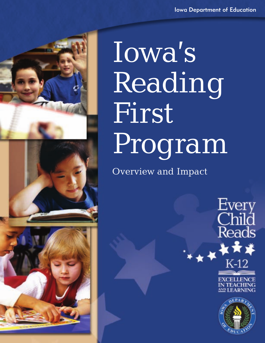





Iowa's Reading First Program

Overview and Impact



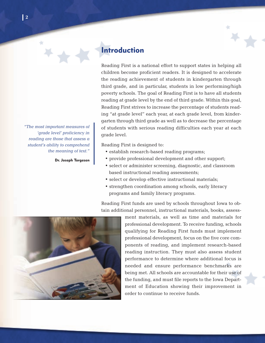## **Introduction**

*"The most important measures of 'grade level' proficiency in reading are those that assess a student's ability to comprehend the meaning of text."*

**Dr. Joseph Torgesen**

Reading First is a national effort to support states in helping all children become proficient readers. It is designed to accelerate the reading achievement of students in kindergarten through third grade, and in particular, students in low performing/high poverty schools. The goal of Reading First is to have all students reading at grade level by the end of third grade. Within this goal, Reading First strives to increase the percentage of students reading "at grade level" each year, at each grade level, from kindergarten through third grade as well as to decrease the percentage of students with serious reading difficulties each year at each grade level.

Reading First is designed to:

- establish research-based reading programs;
- provide professional development and other support;
- select or administer screening, diagnostic, and classroom based instructional reading assessments;
- select or develop effective instructional materials;
- strengthen coordination among schools, early literacy programs and family literacy programs.

Reading First funds are used by schools throughout Iowa to obtain additional personnel, instructional materials, books, assess-

> ment materials, as well as time and materials for professional development. To receive funding, schools qualifying for Reading First funds must implement professional development, focus on the five core components of reading, and implement research-based reading instruction. They must also assess student performance to determine where additional focus is needed and ensure performance benchmarks are being met. All schools are accountable for their use of the funding, and must file reports to the Iowa Department of Education showing their improvement in order to continue to receive funds.

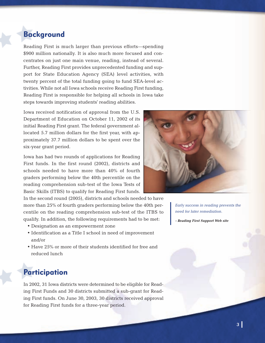## **Background**

Reading First is much larger than previous efforts—spending \$900 million nationally. It is also much more focused and concentrates on just one main venue, reading, instead of several. Further, Reading First provides unprecedented funding and support for State Education Agency (SEA) level activities, with twenty percent of the total funding going to fund SEA-level activities. While not all Iowa schools receive Reading First funding, Reading First is responsible for helping all schools in Iowa take steps towards improving students' reading abilities.

Iowa received notification of approval from the U.S. Department of Education on October 11, 2002 of its initial Reading First grant. The federal government allocated 5.7 million dollars for the first year, with approximately 37.7 million dollars to be spent over the six-year grant period.

Iowa has had two rounds of applications for Reading First funds. In the first round (2002), districts and schools needed to have more than 40% of fourth graders performing below the 40th percentile on the reading comprehension sub-test of the Iowa Tests of Basic Skills (ITBS) to qualify for Reading First funds.

In the second round (2005), districts and schools needed to have more than 25% of fourth graders performing below the 40th percentile on the reading comprehension sub-test of the ITBS to qualify. In addition, the following requirements had to be met:

- Designation as an empowerment zone
- Identification as a Title I school in need of improvement and/or
- Have 25% or more of their students identified for free and reduced lunch

## **Participation**

In 2002, 31 Iowa districts were determined to be eligible for Reading First Funds and 30 districts submitted a sub-grant for Reading First funds. On June 30, 2003, 30 districts received approval for Reading First funds for a three-year period.



*Early success in reading prevents the need for later remediation.*

**- Reading First Support Web site**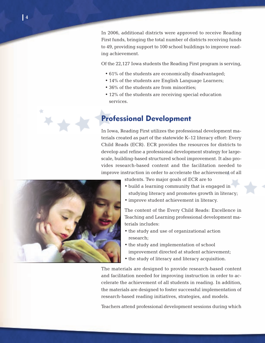In 2006, additional districts were approved to receive Reading First funds, bringing the total number of districts receiving funds to 49, providing support to 100 school buildings to improve reading achievement.

Of the 22,127 Iowa students the Reading First program is serving,

- 61% of the students are economically disadvantaged;
- 14% of the students are English Language Learners;
- 36% of the students are from minorities;
- 12% of the students are receiving special education services.

## **Professional Development**

In Iowa, Reading First utilizes the professional development materials created as part of the statewide K–12 literacy effort: Every Child Reads (ECR). ECR provides the resources for districts to develop and refine a professional development strategy for largescale, building-based structured school improvement. It also provides research-based content and the facilitation needed to improve instruction in order to accelerate the achievement of all



students. Two major goals of ECR are to

- build a learning community that is engaged in studying literacy and promotes growth in literacy;
- improve student achievement in literacy.

The content of the Every Child Reads: Excellence in Teaching and Learning professional development materials includes:

- the study and use of organizational action research;
- the study and implementation of school improvement directed at student achievement;
- the study of literacy and literacy acquisition.

The materials are designed to provide research-based content and facilitation needed for improving instruction in order to accelerate the achievement of all students in reading. In addition, the materials are designed to foster successful implementation of research-based reading initiatives, strategies, and models.

Teachers attend professional development sessions during which

٠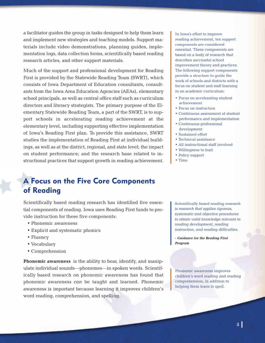a facilitator guides the group in tasks designed to help them learn and implement new strategies and teaching models. Support materials include video demonstrations, planning guides, implementation logs, data collection forms, scientifically based reading research articles, and other support materials.

Much of the support and professional development for Reading First is provided by the Statewide Reading Team (SWRT), which consists of Iowa Department of Education consultants, consultants from the Iowa Area Education Agencies (AEAs), elementary school principals, as well as central office staff such as curriculum directors and literacy strategists. The primary purpose of the Elementary Statewide Reading Team, a part of the SWRT, is to support schools in accelerating reading achievement at the elementary level, including supporting effective implementation of Iowa's Reading First plan. To provide this assistance, SWRT studies the implementation of Reading First at individual buildings, as well as at the district, regional, and state level; the impact on student performance; and the research base related to instructional practices that support growth in reading achievement.

# **A Focus on the Five Core Components of Reading**

Scientifically based reading research has identified five essential components of reading. Iowa uses Reading First funds to provide instruction for these five components:

- Phonemic awareness
- Explicit and systematic phonics
- Fluency
- Vocabulary
- Comprehension

**Phonemic awareness** is the ability to hear, identify, and manipulate individual sounds—phonemes—in spoken words. Scientifically based research on phonemic awareness has found that phonemic awareness *can* be taught and learned. Phonemic awareness is important because learning it improves children's word reading, comprehension, and spelling.

In Iowa's effort to improve reading achievement, ten support components are considered essential. These components are based on a body of research that describes successful school improvement theory and practices. The following support components provide a structure to guide the work of schools and districts with a focus on student and staff learning in an academic curriculum:

- Focus on accelerating student achievement
- Focus on instruction
- Continuous assessment of student performance and implementation
- Continuous professional development
- Sustained effort
- Technical assistance
- All instructional staff involved
- Willingness to lead
- Policy support
- Time

*Scientifically based reading research is research that applies rigorous, systematic and objective procedures to obtain valid knowledge relevant to reading development, reading instruction, and reading difficulties.*

**- Guidance for the Reading First Program**

Phonemic awareness improves children's word reading and reading comprehension, in addition to helping them learn to spell.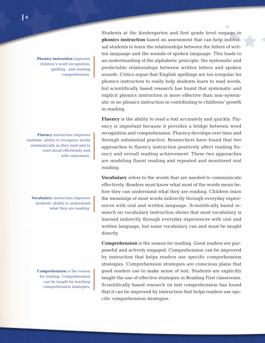**Phonics instruction** improves children's word recognition, spelling, and reading comprehension.

**Fluency** instruction improves students' ability to recognize words automatically as they read and to read aloud effortlessly and with expression.

**Vocabulary** instruction improves students' ability to understand what they are reading.

**Comprehension** is the reason for reading. Comprehension can be taught by teaching comprehension strategies. Students at the kindergarten and first grade level engage in **phonics instruction** based on assessment that can help individual students to learn the relationships between the letters of written language and the sounds of spoken language. This leads to an understanding of the alphabetic principle: the systematic and predictable relationships between written letters and spoken sounds. Critics argue that English spellings are too irregular for phonics instruction to really help students learn to read words, but scientifically based research has found that systematic and explicit phonics instruction is more effective than non-systematic or no phonics instruction in contributing to childrens' growth in reading.

**Fluency** is the ability to read a text accurately and quickly. Fluency is important because it provides a bridge between word recognition and comprehension. Fluency develops over time and through substantial practice. Researchers have found that two approaches to fluency instruction positively affect reading fluency and overall reading achievement. These two approaches are modeling fluent reading and repeated and monitored oral reading.

**Vocabulary** refers to the words that are needed to communicate effectively. Readers must know what most of the words mean before they can understand what they are reading. Children learn the meanings of most words indirectly through everyday experiences with oral and written language. Scientifically based research on vocabulary instruction shows that most vocabulary is learned indirectly through everyday experiences with oral and written language, but some vocabulary can and must be taught directly.

**Comprehension** is the reason for reading. Good readers are purposeful and actively engaged. Comprehension can be improved by instruction that helps readers use specific comprehension strategies. Comprehension strategies are conscious plans that good readers use to make sense of text. Students are explicitly taught the use of effective strategies in Reading First classrooms. Scientifically based research on text comprehension has found that it can be improved by instruction that helps readers use specific comprehension strategies.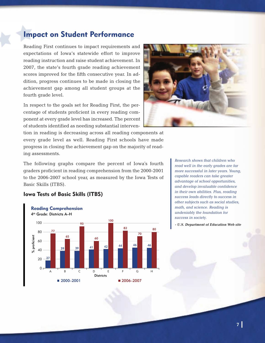## **Impact on Student Performance**

Reading First continues to impact requirements and expectations of Iowa's statewide effort to improve reading instruction and raise student achievement. In 2007, the state's fourth grade reading achievement scores improved for the fifth consecutive year. In addition, progress continues to be made in closing the achievement gap among all student groups at the fourth grade level.

In respect to the goals set for Reading First, the percentage of students proficient in every reading component at every grade level has increased. The percent of students identified as needing substantial interven-

**Iowa Tests of Basic Skills (ITBS)**



tion in reading is decreasing across all reading components at every grade level as well. Reading First schools have made progress in closing the achievement gap on the majority of reading assessments.

The following graphs compare the percent of Iowa's fourth graders proficient in reading comprehension from the 2000-2001 to the 2006-2007 school year, as measured by the Iowa Tests of Basic Skills (ITBS).

#### Reading Comprehension 4th Grade: Districts A–H 100 80 60 40 20  $0<sub>r</sub>$ % proficien<sup>®</sup> proficient **Districts** ABCDE FGH  $2000-2001$  2006–2007 77 27 65 39 93 39 60 41 100 42 82 44 70 46 80 46

*Research shows that children who read well in the early grades are far more successful in later years. Young, capable readers can take greater advantage of school opportunities, and develop invaluable confidence in their own abilities. Plus, reading success leads directly to success in other subjects such as social studies, math, and science. Reading is undeniably the foundation for success in society.*

**- U.S. Department of Education Web site**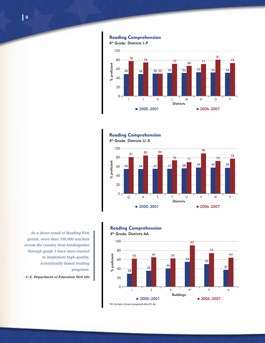$0<sub>r</sub>$ % proficient proficient **Districts** I J K LMNO P  $2000-2001$  2006-2007 50 50 



#### Reading Comprehension



*As a direct result of Reading First grants, more than 100,000 teachers across the country from kindergarten through grade 3 have been trained to implement high-quality, scientifically based reading programs.*

**- U.S. Department of Education Web site**



4th Grade: Districts I–P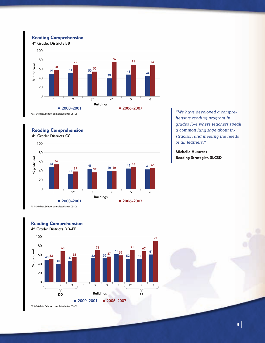#### Reading Comprehension

4th Grade: Districts BB



#### Reading Comprehension

4th Grade: Districts CC



\*05–06 data. School completed after 05–06

Reading Comprehension



*"We have developed a comprehensive reading program in grades K–4 where teachers speak a common language about instruction and meeting the needs of all learners."*

**Michelle Huntress Reading Strategist, SLCSD**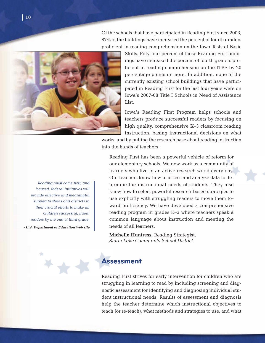Of the schools that have participated in Reading First since 2003, 87% of the buildings have increased the percent of fourth graders proficient in reading comprehension on the Iowa Tests of Basic



Skills. Fifty-four percent of those Reading First buildings have increased the percent of fourth graders proficient in reading comprehension on the ITBS by 20 percentage points or more. In addition, none of the currently existing school buildings that have participated in Reading First for the last four years were on Iowa's 2007-08 Title I Schools in Need of Assistance List.

Iowa's Reading First Program helps schools and teachers produce successful readers by focusing on high quality, comprehensive K–3 classroom reading instruction, basing instructional decisions on what

works, and by putting the research base about reading instruction into the hands of teachers.

*Reading must come first, and focused, federal initiatives will provide effective and meaningful support to states and districts in their crucial efforts to make all children successful, fluent readers by the end of third grade.*

**- U.S. Department of Education Web site**

Reading First has been a powerful vehicle of reform for our elementary schools. We now work as a community of learners who live in an active research world every day. Our teachers know how to assess and analyze data to determine the instructional needs of students. They also know how to select powerful research-based strategies to use explicitly with struggling readers to move them toward proficiency. We have developed a comprehensive reading program in grades K–3 where teachers speak a common language about instruction and meeting the needs of all learners.

**Michelle Huntress**, Reading Strategist, *Storm Lake Community School District*

### **Assessment**

Reading First strives for early intervention for children who are struggling in learning to read by including screening and diagnostic assessment for identifying and diagnosing individual student instructional needs. Results of assessment and diagnosis help the teacher determine which instructional objectives to teach (or re-teach), what methods and strategies to use, and what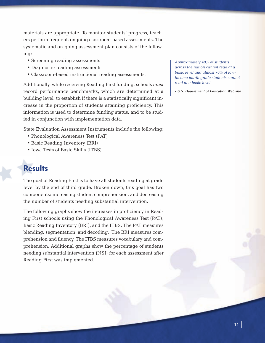materials are appropriate. To monitor students' progress, teachers perform frequent, ongoing classroom-based assessments. The systematic and on-going assessment plan consists of the following:

- Screening reading assessments
- Diagnostic reading assessments
- Classroom-based instructional reading assessments.

Additionally, while receiving Reading First funding, schools *must* record performance benchmarks, which are determined at a building level, to establish if there is a statistically significant increase in the proportion of students attaining proficiency. This information is used to determine funding status, and to be studied in conjunction with implementation data.

State Evaluation Assessment Instruments include the following:

- Phonological Awareness Test (PAT)
- Basic Reading Inventory (BRI)
- Iowa Tests of Basic Skills (ITBS)

## **Results**

The goal of Reading First is to have all students reading at grade level by the end of third grade. Broken down, this goal has two components: increasing student comprehension, and decreasing the number of students needing substantial intervention.

The following graphs show the increases in proficiency in Reading First schools using the Phonological Awareness Test (PAT), Basic Reading Inventory (BRI), and the ITBS. The PAT measures blending, segmentation, and decoding. The BRI measures comprehension and fluency. The ITBS measures vocabulary and comprehension. Additional graphs show the percentage of students needing substantial intervention (NSI) for each assessment after Reading First was implemented.

*Approximately 40% of students across the nation cannot read at a basic level and almost 70% of lowincome fourth grade students cannot read at a basic level.*

**- U.S. Department of Education Web site**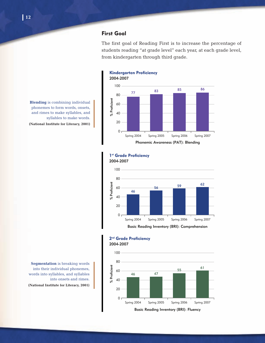### **First Goal**

The first goal of Reading First is to increase the percentage of students reading "at grade level" each year, at each grade level, from kindergarten through third grade.



**Blending** is combining individual phonemes to form words, onsets, and rimes to make syllables, and syllables to make words. **(National Institute for Literacy, 2001)**

#### 1<sup>st</sup> Grade Proficiency 2004-2007



2<sup>nd</sup> Grade Proficiency 2004-2007



**Segmentation** is breaking words into their individual phonemes, words into syllables, and syllables into onsets and rimes. **(National Institute for Literacy, 2001)**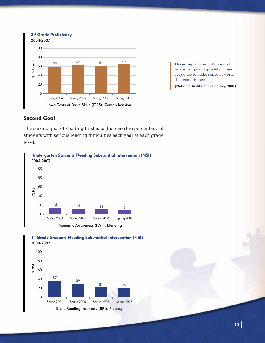

**Decoding** is using letter-sound relationships in a predetermined sequence to make sense of words that contain them.

**(National Institute for Literacy, 2001)**

#### **Second Goal**

The second goal of Reading First is to decrease the percentage of students with serious reading difficulties each year at each grade level.





#### 1<sup>st</sup> Grade Students Needing Substantial Intervention (NSI) 2004-2007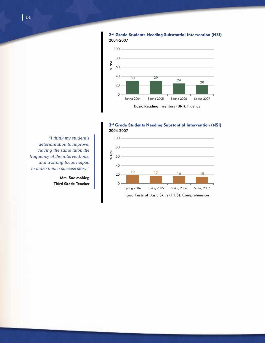

2<sup>nd</sup> Grade Students Needing Substantial Intervention (NSI) 2004-2007

3rd Grade Students Needing Substantial Intervention (NSI) 2004-2007



*"I think my student's determination to improve, having the same tutor, the frequency of the interventions, and a strong focus helped to make hers a success story."*

> **Mrs. Sue Mobley, Third Grade Teacher**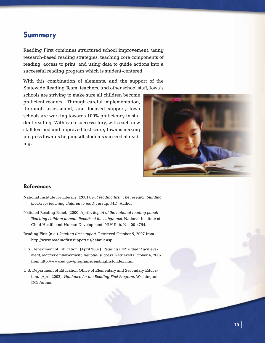### **Summary**

Reading First combines structured school improvement, using research-based reading strategies, teaching core components of reading, access to print, and using data to guide actions into a successful reading program which is student-centered.

With this combination of elements, and the support of the Statewide Reading Team, teachers, and other school staff, Iowa's

schools are striving to make sure all children become proficient readers. Through careful implementation, thorough assessment, and focused support, Iowa schools are working towards 100% proficiency in student reading. With each success story, with each new skill learned and improved test score, Iowa is making progress towards helping **all** students succeed at reading.



#### **References**

- National Institute for Literacy. (2001). *Put reading first: The research building blocks for teaching children to read.* Jessup, MD: Author.
- National Reading Panel. (2000, April). *Report of the national reading panel: Teaching children to read. Reports of the subgroups.* National Institute of Child Health and Human Development. NIH Pub. No. 00-4754.
- Reading First (n.d.) *Reading first support*. Retrieved October 5, 2007 from http://www.readingfirstsupport.us/default.asp
- U.S. Department of Education. (April 2007). *Reading first: Student achievement, teacher empowerment, national success.* Retrieved October 4, 2007 from http://www.ed.gov/programs/readingfirst/index.html
- U.S. Department of Education Office of Elementary and Secondary Education. (April 2002). *Guidance for the Reading First Program.* Washington, DC: Author.